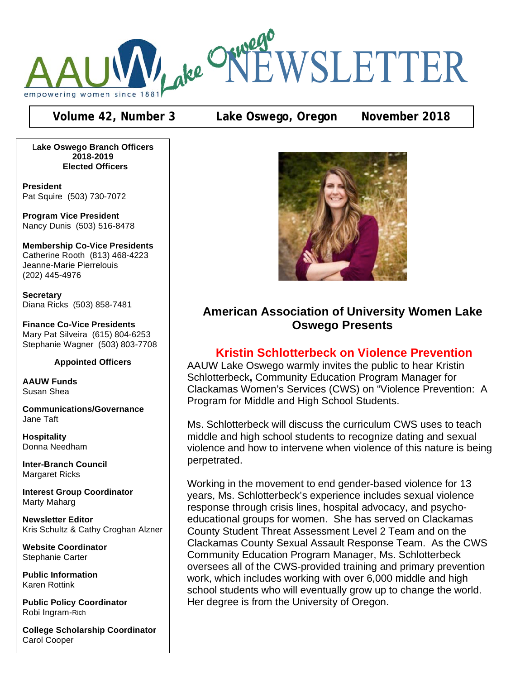

# **Volume 42, Number 3 Lake Oswego, Oregon November 2018**

L**ake Oswego Branch Officers 2018-2019 Elected Officers**

**President** Pat Squire (503) 730-7072

**Program Vice President** Nancy Dunis (503) 516-8478

**Membership Co-Vice Presidents** Catherine Rooth (813) 468-4223 Jeanne-Marie Pierrelouis (202) 445-4976

**Secretary** Diana Ricks (503) 858-7481

**Finance Co-Vice Presidents** Mary Pat Silveira (615) 804-6253 Stephanie Wagner (503) 803-7708

#### **Appointed Officers**

**AAUW Funds** Susan Shea

**Communications/Governance** Jane Taft

**Hospitality** Donna Needham

**Inter-Branch Council** Margaret Ricks

**Interest Group Coordinator** Marty Maharg

**Newsletter Editor** Kris Schultz & Cathy Croghan Alzner

**Website Coordinator** Stephanie Carter

**Public Information** Karen Rottink

**Public Policy Coordinator** Robi Ingram-Rich

**College Scholarship Coordinator** Carol Cooper



## **American Association of University Women Lake Oswego Presents**

### **Kristin Schlotterbeck on Violence Prevention**

AAUW Lake Oswego warmly invites the public to hear Kristin Schlotterbeck**,** Community Education Program Manager for Clackamas Women's Services (CWS) on "Violence Prevention: A Program for Middle and High School Students.

Ms. Schlotterbeck will discuss the curriculum CWS uses to teach middle and high school students to recognize dating and sexual violence and how to intervene when violence of this nature is being perpetrated.

Working in the movement to end gender-based violence for 13 years, Ms. Schlotterbeck's experience includes sexual violence response through crisis lines, hospital advocacy, and psychoeducational groups for women. She has served on Clackamas County Student Threat Assessment Level 2 Team and on the Clackamas County Sexual Assault Response Team. As the CWS Community Education Program Manager, Ms. Schlotterbeck oversees all of the CWS-provided training and primary prevention work, which includes working with over 6,000 middle and high school students who will eventually grow up to change the world. Her degree is from the University of Oregon.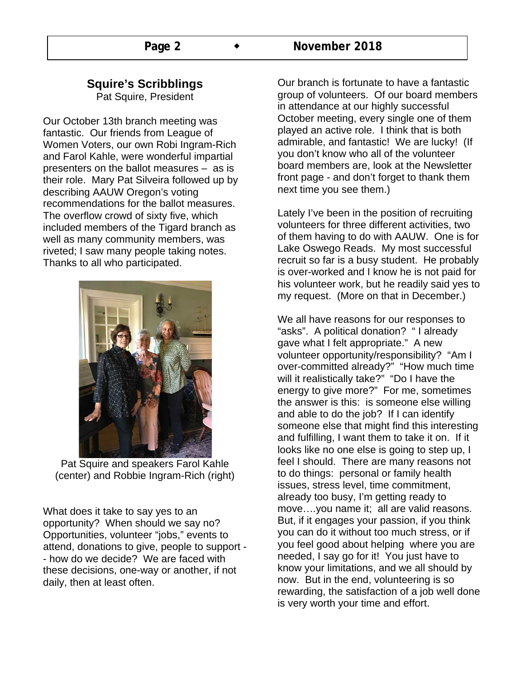# **Squire's Scribblings**

Pat Squire, President

Our October 13th branch meeting was fantastic. Our friends from League of Women Voters, our own Robi Ingram-Rich and Farol Kahle, were wonderful impartial presenters on the ballot measures – as is their role. Mary Pat Silveira followed up by describing AAUW Oregon's voting recommendations for the ballot measures. The overflow crowd of sixty five, which included members of the Tigard branch as well as many community members, was riveted; I saw many people taking notes. Thanks to all who participated.



Pat Squire and speakers Farol Kahle (center) and Robbie Ingram-Rich (right)

What does it take to say yes to an opportunity? When should we say no? Opportunities, volunteer "jobs," events to attend, donations to give, people to support - - how do we decide? We are faced with these decisions, one-way or another, if not daily, then at least often.

Our branch is fortunate to have a fantastic group of volunteers. Of our board members in attendance at our highly successful October meeting, every single one of them played an active role. I think that is both admirable, and fantastic! We are lucky! (If you don't know who all of the volunteer board members are, look at the Newsletter front page - and don't forget to thank them next time you see them.)

Lately I've been in the position of recruiting volunteers for three different activities, two of them having to do with AAUW. One is for Lake Oswego Reads. My most successful recruit so far is a busy student. He probably is over-worked and I know he is not paid for his volunteer work, but he readily said yes to my request. (More on that in December.)

We all have reasons for our responses to "asks". A political donation? " I already gave what I felt appropriate." A new volunteer opportunity/responsibility? "Am I over-committed already?" "How much time will it realistically take?" "Do I have the energy to give more?" For me, sometimes the answer is this: is someone else willing and able to do the job? If I can identify someone else that might find this interesting and fulfilling, I want them to take it on. If it looks like no one else is going to step up, I feel I should. There are many reasons not to do things: personal or family health issues, stress level, time commitment, already too busy, I'm getting ready to move….you name it; all are valid reasons. But, if it engages your passion, if you think you can do it without too much stress, or if you feel good about helping where you are needed, I say go for it! You just have to know your limitations, and we all should by now. But in the end, volunteering is so rewarding, the satisfaction of a job well done is very worth your time and effort.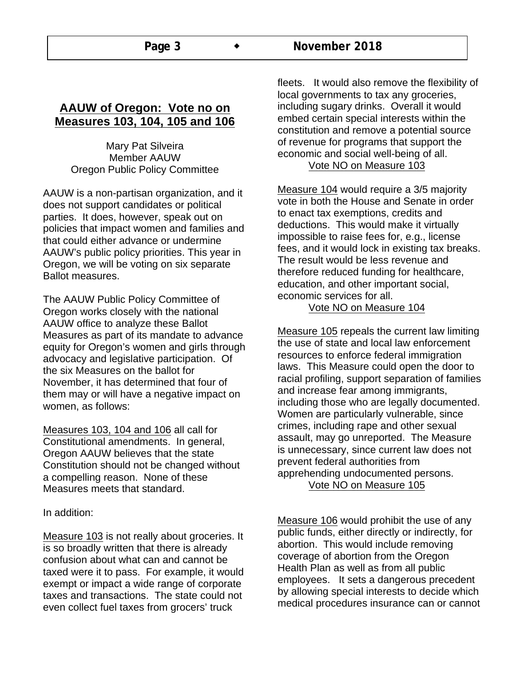### **AAUW of Oregon: Vote no on Measures 103, 104, 105 and 106**

Mary Pat Silveira Member AAUW Oregon Public Policy Committee

AAUW is a non-partisan organization, and it does not support candidates or political parties. It does, however, speak out on policies that impact women and families and that could either advance or undermine AAUW's public policy priorities. This year in Oregon, we will be voting on six separate Ballot measures.

The AAUW Public Policy Committee of Oregon works closely with the national AAUW office to analyze these Ballot Measures as part of its mandate to advance equity for Oregon's women and girls through advocacy and legislative participation. Of the six Measures on the ballot for November, it has determined that four of them may or will have a negative impact on women, as follows:

Measures 103, 104 and 106 all call for Constitutional amendments. In general, Oregon AAUW believes that the state Constitution should not be changed without a compelling reason. None of these Measures meets that standard.

In addition:

Measure 103 is not really about groceries. It is so broadly written that there is already confusion about what can and cannot be taxed were it to pass. For example, it would exempt or impact a wide range of corporate taxes and transactions. The state could not even collect fuel taxes from grocers' truck

fleets. It would also remove the flexibility of local governments to tax any groceries, including sugary drinks. Overall it would embed certain special interests within the constitution and remove a potential source of revenue for programs that support the economic and social well-being of all. Vote NO on Measure 103

Measure 104 would require a 3/5 majority vote in both the House and Senate in order to enact tax exemptions, credits and deductions. This would make it virtually impossible to raise fees for, e.g., license fees, and it would lock in existing tax breaks. The result would be less revenue and therefore reduced funding for healthcare, education, and other important social, economic services for all.

Vote NO on Measure 104

Measure 105 repeals the current law limiting the use of state and local law enforcement resources to enforce federal immigration laws. This Measure could open the door to racial profiling, support separation of families and increase fear among immigrants, including those who are legally documented. Women are particularly vulnerable, since crimes, including rape and other sexual assault, may go unreported. The Measure is unnecessary, since current law does not prevent federal authorities from apprehending undocumented persons. Vote NO on Measure 105

Measure 106 would prohibit the use of any public funds, either directly or indirectly, for abortion. This would include removing coverage of abortion from the Oregon Health Plan as well as from all public employees. It sets a dangerous precedent by allowing special interests to decide which medical procedures insurance can or cannot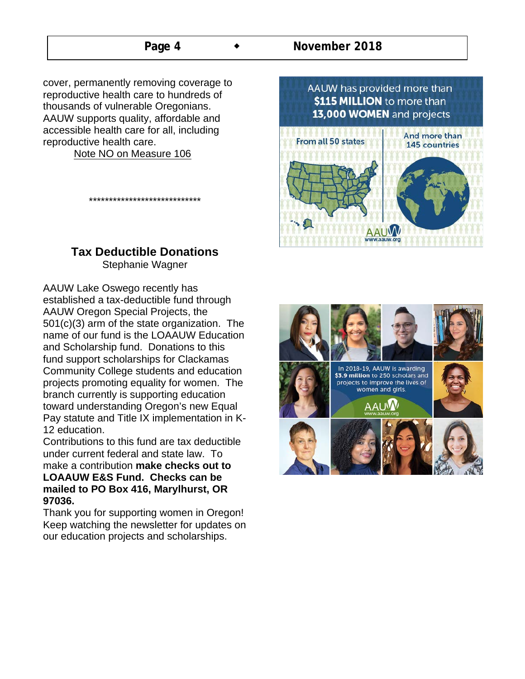cover, permanently removing coverage to reproductive health care to hundreds of thousands of vulnerable Oregonians. AAUW supports quality, affordable and accessible health care for all, including reproductive health care.

Note NO on Measure 106

# **Tax Deductible Donations**

\*\*\*\*\*\*\*\*\*\*\*\*\*\*\*\*\*\*\*\*\*\*\*\*\*\*\*\*

Stephanie Wagner

AAUW Lake Oswego recently has established a tax-deductible fund through AAUW Oregon Special Projects, the 501(c)(3) arm of the state organization. The name of our fund is the LOAAUW Education and Scholarship fund. Donations to this fund support scholarships for Clackamas Community College students and education projects promoting equality for women. The branch currently is supporting education toward understanding Oregon's new Equal Pay statute and Title IX implementation in K-12 education.

Contributions to this fund are tax deductible under current federal and state law. To make a contribution **make checks out to LOAAUW E&S Fund. Checks can be mailed to PO Box 416, Marylhurst, OR 97036.**

Thank you for supporting women in Oregon! Keep watching the newsletter for updates on our education projects and scholarships.



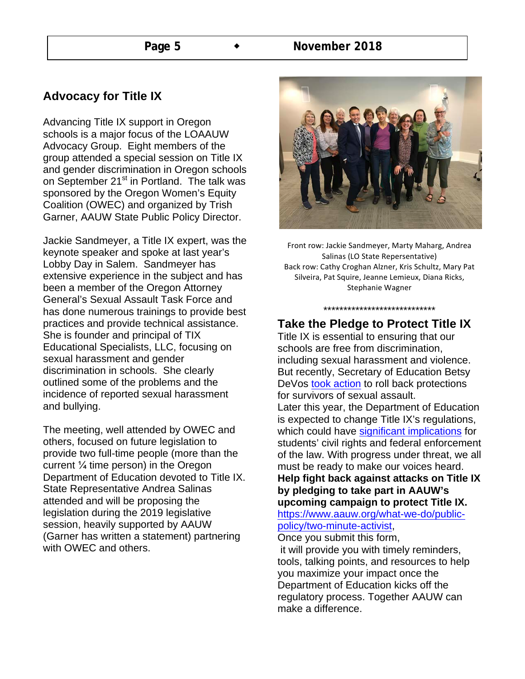### **Advocacy for Title IX**

Advancing Title IX support in Oregon schools is a major focus of the LOAAUW Advocacy Group. Eight members of the group attended a special session on Title IX and gender discrimination in Oregon schools on September 21<sup>st</sup> in Portland. The talk was sponsored by the Oregon Women's Equity Coalition (OWEC) and organized by Trish Garner, AAUW State Public Policy Director.

Jackie Sandmeyer, a Title IX expert, was the keynote speaker and spoke at last year's Lobby Day in Salem. Sandmeyer has extensive experience in the subject and has been a member of the Oregon Attorney General's Sexual Assault Task Force and has done numerous trainings to provide best practices and provide technical assistance. She is founder and principal of TIX Educational Specialists, LLC, focusing on sexual harassment and gender discrimination in schools. She clearly outlined some of the problems and the incidence of reported sexual harassment and bullying.

The meeting, well attended by OWEC and others, focused on future legislation to provide two full-time people (more than the current ¼ time person) in the Oregon Department of Education devoted to Title IX. State Representative Andrea Salinas attended and will be proposing the legislation during the 2019 legislative session, heavily supported by AAUW (Garner has written a statement) partnering with OWEC and others.



Front row: Jackie Sandmeyer, Marty Maharg, Andrea Salinas (LO State Repersentative) Back row: Cathy Croghan Alzner, Kris Schultz, Mary Pat Silveira, Pat Squire, Jeanne Lemieux, Diana Ricks, Stephanie Wagner

### **Take the Pledge to Protect Title IX**

\*\*\*\*\*\*\*\*\*\*\*\*\*\*\*\*\*\*\*\*\*\*\*\*\*\*\*\*

Title IX is essential to ensuring that our schools are free from discrimination, including sexual harassment and violence. But recently, Secretary of Education Betsy DeVos took action to roll back protections for survivors of sexual assault.

Later this year, the Department of Education is expected to change Title IX's regulations, which could have significant implications for students' civil rights and federal enforcement of the law. With progress under threat, we all must be ready to make our voices heard.

**Help fight back against attacks on Title IX by pledging to take part in AAUW's upcoming campaign to protect Title IX.**

https://www.aauw.org/what-we-do/publicpolicy/two-minute-activist,

Once you submit this form, it will provide you with timely reminders, tools, talking points, and resources to help you maximize your impact once the Department of Education kicks off the regulatory process. Together AAUW can make a difference.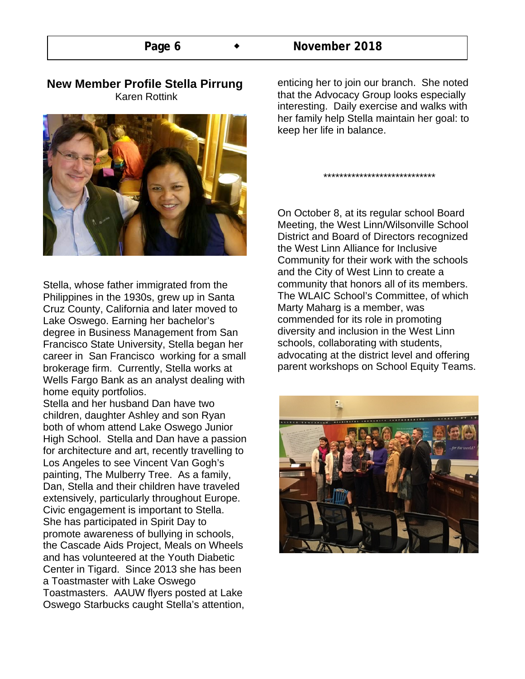| Page 6 |  | November 2018 |  |
|--------|--|---------------|--|
|--------|--|---------------|--|

### **New Member Profile Stella Pirrung** Karen Rottink



Stella, whose father immigrated from the Philippines in the 1930s, grew up in Santa Cruz County, California and later moved to Lake Oswego. Earning her bachelor's degree in Business Management from San Francisco State University, Stella began her career in San Francisco working for a small brokerage firm. Currently, Stella works at Wells Fargo Bank as an analyst dealing with home equity portfolios.

Stella and her husband Dan have two children, daughter Ashley and son Ryan both of whom attend Lake Oswego Junior High School. Stella and Dan have a passion for architecture and art, recently travelling to Los Angeles to see Vincent Van Gogh's painting, The Mulberry Tree. As a family, Dan, Stella and their children have traveled extensively, particularly throughout Europe. Civic engagement is important to Stella. She has participated in Spirit Day to promote awareness of bullying in schools, the Cascade Aids Project, Meals on Wheels and has volunteered at the Youth Diabetic Center in Tigard. Since 2013 she has been a Toastmaster with Lake Oswego Toastmasters. AAUW flyers posted at Lake Oswego Starbucks caught Stella's attention,

enticing her to join our branch. She noted that the Advocacy Group looks especially interesting. Daily exercise and walks with her family help Stella maintain her goal: to keep her life in balance.

\*\*\*\*\*\*\*\*\*\*\*\*\*\*\*\*\*\*\*\*\*\*\*\*\*\*\*\*

On October 8, at its regular school Board Meeting, the West Linn/Wilsonville School District and Board of Directors recognized the West Linn Alliance for Inclusive Community for their work with the schools and the City of West Linn to create a community that honors all of its members. The WLAIC School's Committee, of which Marty Maharg is a member, was commended for its role in promoting diversity and inclusion in the West Linn schools, collaborating with students, advocating at the district level and offering parent workshops on School Equity Teams.

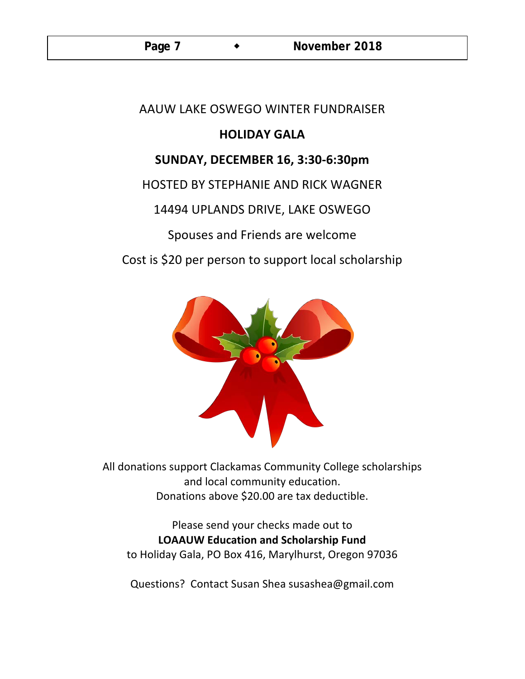### AAUW LAKE OSWEGO WINTER FUNDRAISER

### **HOLIDAY GALA**

# **SUNDAY, DECEMBER 16, 3:30-6:30pm**

# HOSTED BY STEPHANIE AND RICK WAGNER

# 14494 UPLANDS DRIVE, LAKE OSWEGO

Spouses and Friends are welcome

Cost is \$20 per person to support local scholarship



All donations support Clackamas Community College scholarships and local community education. Donations above \$20.00 are tax deductible.

Please send your checks made out to **LOAAUW Education and Scholarship Fund** to Holiday Gala, PO Box 416, Marylhurst, Oregon 97036

Questions? Contact Susan Shea susashea@gmail.com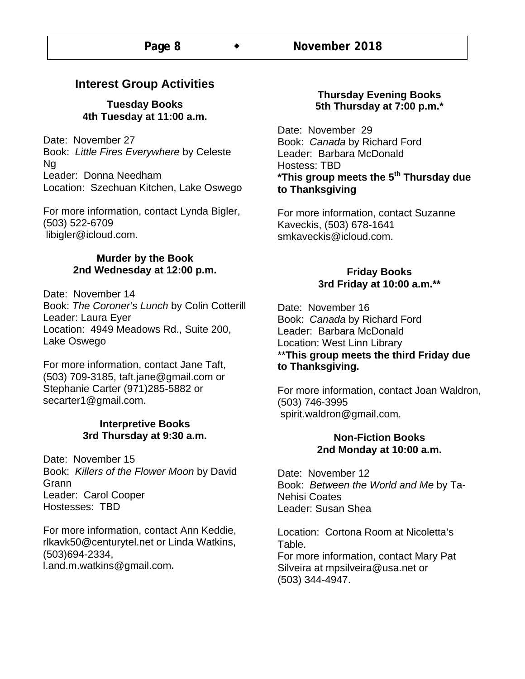### **Interest Group Activities**

#### **Tuesday Books 4th Tuesday at 11:00 a.m.**

Date: November 27 Book: *Little Fires Everywhere* by Celeste Ng Leader: Donna Needham Location: Szechuan Kitchen, Lake Oswego

For more information, contact Lynda Bigler, (503) 522-6709 libigler@icloud.com.

#### **Murder by the Book 2nd Wednesday at 12:00 p.m.**

Date: November 14 Book: *The Coroner's Lunch* by Colin Cotterill Leader: Laura Eyer Location: 4949 Meadows Rd., Suite 200, Lake Oswego

For more information, contact Jane Taft, (503) 709-3185, taft.jane@gmail.com or Stephanie Carter (971)285-5882 or secarter1@gmail.com.

#### **Interpretive Books 3rd Thursday at 9:30 a.m.**

Date: November 15 Book: *Killers of the Flower Moon* by David **Grann** Leader: Carol Cooper Hostesses: TBD

For more information, contact Ann Keddie, rlkavk50@centurytel.net or Linda Watkins, (503)694-2334, l.and.m.watkins@gmail.com**.** 

### **Thursday Evening Books 5th Thursday at 7:00 p.m.\***

Date: November 29 Book: *Canada* by Richard Ford Leader: Barbara McDonald Hostess: TBD **\*This group meets the 5th Thursday due to Thanksgiving**

For more information, contact Suzanne Kaveckis, (503) 678-1641 smkaveckis@icloud.com.

#### **Friday Books 3rd Friday at 10:00 a.m.\*\***

Date: November 16 Book: *Canada* by Richard Ford Leader: Barbara McDonald Location: West Linn Library \*\***This group meets the third Friday due to Thanksgiving.**

For more information, contact Joan Waldron, (503) 746-3995 spirit.waldron@gmail.com.

#### **Non-Fiction Books 2nd Monday at 10:00 a.m.**

Date: November 12 Book: *Between the World and Me* by Ta-Nehisi Coates Leader: Susan Shea

Location: Cortona Room at Nicoletta's Table. For more information, contact Mary Pat Silveira at mpsilveira@usa.net or (503) 344-4947.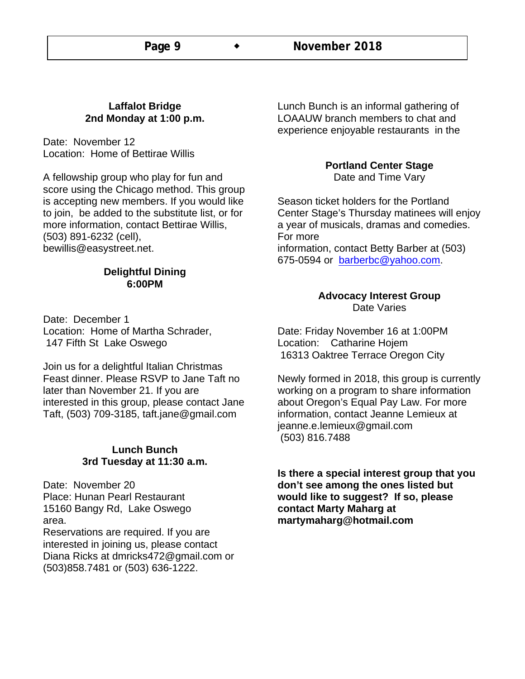#### **Laffalot Bridge 2nd Monday at 1:00 p.m.**

Date: November 12 Location: Home of Bettirae Willis

A fellowship group who play for fun and score using the Chicago method. This group is accepting new members. If you would like to join, be added to the substitute list, or for more information, contact Bettirae Willis, (503) 891-6232 (cell), bewillis@easystreet.net.

#### **Delightful Dining 6:00PM**

Date: December 1 Location: Home of Martha Schrader, 147 Fifth St Lake Oswego

Join us for a delightful Italian Christmas Feast dinner. Please RSVP to Jane Taft no later than November 21. If you are interested in this group, please contact Jane Taft, (503) 709-3185, taft.jane@gmail.com

#### **Lunch Bunch 3rd Tuesday at 11:30 a.m.**

Date: November 20 Place: Hunan Pearl Restaurant 15160 Bangy Rd, Lake Oswego area. Reservations are required. If you are interested in joining us, please contact Diana Ricks at dmricks472@gmail.com or (503)858.7481 or (503) 636-1222.

Lunch Bunch is an informal gathering of LOAAUW branch members to chat and experience enjoyable restaurants in the

> **Portland Center Stage** Date and Time Vary

Season ticket holders for the Portland Center Stage's Thursday matinees will enjoy a year of musicals, dramas and comedies. For more information, contact Betty Barber at (503) 675-0594 or barberbc@yahoo.com.

#### **Advocacy Interest Group** Date Varies

Date: Friday November 16 at 1:00PM Location: Catharine Hojem 16313 Oaktree Terrace Oregon City

Newly formed in 2018, this group is currently working on a program to share information about Oregon's Equal Pay Law. For more information, contact Jeanne Lemieux at jeanne.e.lemieux@gmail.com (503) 816.7488

**Is there a special interest group that you don't see among the ones listed but would like to suggest? If so, please contact Marty Maharg at martymaharg@hotmail.com**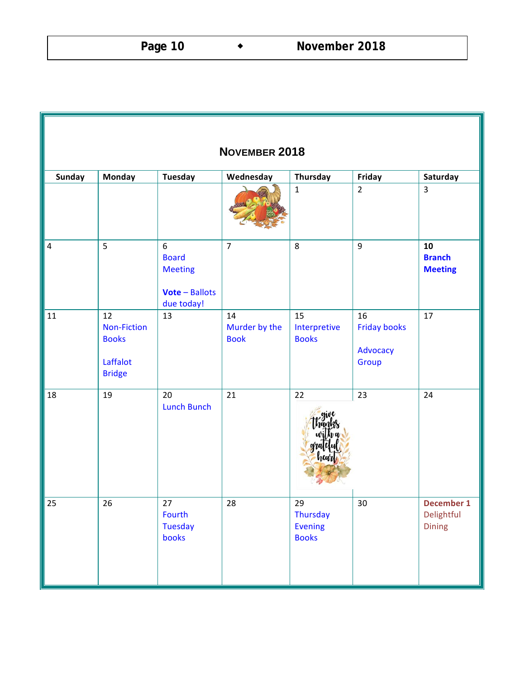| Page 10 |  | November 2018 |
|---------|--|---------------|
|---------|--|---------------|

г

| NOVEMBER 2018           |                                                                       |                                                                                  |                                    |                                           |                                                |                                           |
|-------------------------|-----------------------------------------------------------------------|----------------------------------------------------------------------------------|------------------------------------|-------------------------------------------|------------------------------------------------|-------------------------------------------|
| Sunday                  | Monday                                                                | <b>Tuesday</b>                                                                   | Wednesday                          | Thursday                                  | Friday                                         | Saturday                                  |
|                         |                                                                       |                                                                                  |                                    | $\mathbf 1$                               | $\overline{2}$                                 | $\overline{3}$                            |
| $\overline{\mathbf{4}}$ | 5                                                                     | $6\phantom{a}$<br><b>Board</b><br><b>Meeting</b><br>Vote - Ballots<br>due today! | $\overline{7}$                     | 8                                         | $\overline{9}$                                 | 10<br><b>Branch</b><br><b>Meeting</b>     |
| 11                      | 12<br><b>Non-Fiction</b><br><b>Books</b><br>Laffalot<br><b>Bridge</b> | 13                                                                               | 14<br>Murder by the<br><b>Book</b> | 15<br>Interpretive<br><b>Books</b>        | 16<br><b>Friday books</b><br>Advocacy<br>Group | 17                                        |
| 18                      | 19                                                                    | 20<br><b>Lunch Bunch</b>                                                         | 21                                 | 22                                        | 23                                             | 24                                        |
| $\overline{25}$         | $26\,$                                                                | 27<br>Fourth<br><b>Tuesday</b><br>books                                          | 28                                 | 29<br>Thursday<br>Evening<br><b>Books</b> | 30 <sup>°</sup>                                | December 1<br>Delightful<br><b>Dining</b> |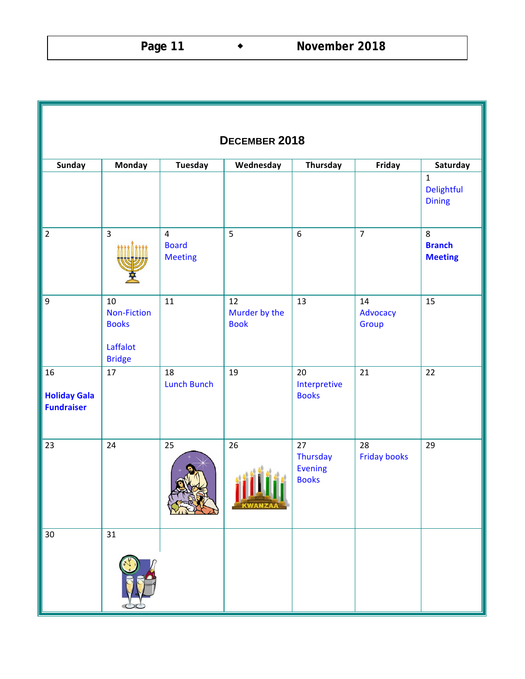|                                                |                                                                       |                                                  | DECEMBER 2018                      |                                           |                           |                                             |
|------------------------------------------------|-----------------------------------------------------------------------|--------------------------------------------------|------------------------------------|-------------------------------------------|---------------------------|---------------------------------------------|
| Sunday                                         | Monday                                                                | <b>Tuesday</b>                                   | Wednesday                          | Thursday                                  | Friday                    | Saturday                                    |
|                                                |                                                                       |                                                  |                                    |                                           |                           | $\mathbf{1}$<br>Delightful<br><b>Dining</b> |
| $\overline{2}$                                 | $\overline{3}$                                                        | $\overline{4}$<br><b>Board</b><br><b>Meeting</b> | 5                                  | $\boldsymbol{6}$                          | $\overline{7}$            | 8<br><b>Branch</b><br><b>Meeting</b>        |
| 9                                              | 10<br><b>Non-Fiction</b><br><b>Books</b><br>Laffalot<br><b>Bridge</b> | 11                                               | 12<br>Murder by the<br><b>Book</b> | 13                                        | 14<br>Advocacy<br>Group   | 15                                          |
| 16<br><b>Holiday Gala</b><br><b>Fundraiser</b> | 17                                                                    | 18<br><b>Lunch Bunch</b>                         | 19                                 | 20<br>Interpretive<br><b>Books</b>        | 21                        | 22                                          |
| 23                                             | 24                                                                    | 25                                               | 26                                 | 27<br>Thursday<br>Evening<br><b>Books</b> | 28<br><b>Friday books</b> | 29                                          |
| 30                                             | 31                                                                    |                                                  |                                    |                                           |                           |                                             |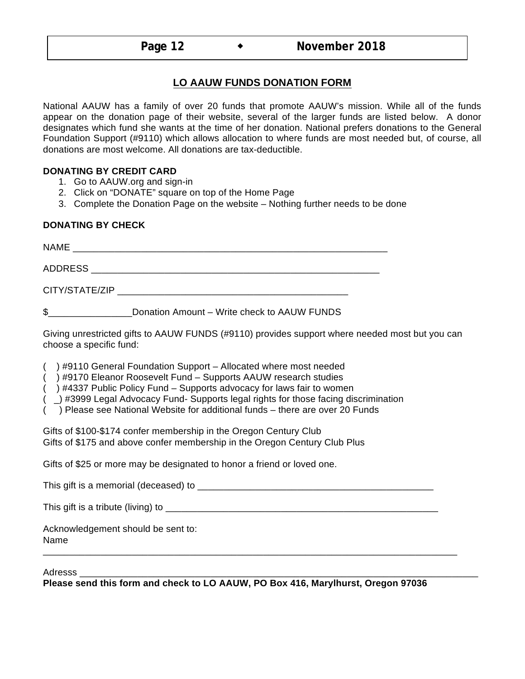### **LO AAUW FUNDS DONATION FORM**

National AAUW has a family of over 20 funds that promote AAUW's mission. While all of the funds appear on the donation page of their website, several of the larger funds are listed below. A donor designates which fund she wants at the time of her donation. National prefers donations to the General Foundation Support (#9110) which allows allocation to where funds are most needed but, of course, all donations are most welcome. All donations are tax-deductible.

#### **DONATING BY CREDIT CARD**

- 1. Go to AAUW.org and sign-in
- 2. Click on "DONATE" square on top of the Home Page
- 3. Complete the Donation Page on the website Nothing further needs to be done

#### **DONATING BY CHECK**

| NAME           |  |
|----------------|--|
| ADDRESS        |  |
| CITY/STATE/ZIP |  |

\$\_\_\_\_\_\_\_\_\_\_\_\_\_\_\_\_Donation Amount – Write check to AAUW FUNDS

Giving unrestricted gifts to AAUW FUNDS (#9110) provides support where needed most but you can choose a specific fund:

( ) #9110 General Foundation Support – Allocated where most needed

- ( ) #9170 Eleanor Roosevelt Fund Supports AAUW research studies
- ) #4337 Public Policy Fund Supports advocacy for laws fair to women
- $\Box$ ) #3999 Legal Advocacy Fund- Supports legal rights for those facing discrimination
- ( ) Please see National Website for additional funds there are over 20 Funds

Gifts of \$100-\$174 confer membership in the Oregon Century Club Gifts of \$175 and above confer membership in the Oregon Century Club Plus

Gifts of \$25 or more may be designated to honor a friend or loved one.

This gift is a memorial (deceased) to \_\_\_\_\_\_\_\_\_\_\_\_\_\_\_\_\_\_\_\_\_\_\_\_\_\_\_\_\_\_\_\_\_\_\_\_\_\_\_\_\_\_\_\_\_

This gift is a tribute (living) to \_\_\_\_\_\_\_\_\_\_\_\_\_\_\_\_\_\_\_\_\_\_\_\_\_\_\_\_\_\_\_\_\_\_\_\_\_\_\_\_\_\_\_\_\_\_\_\_\_\_\_\_

Acknowledgement should be sent to: Name

Adresss \_\_\_\_\_\_\_\_\_\_\_\_\_\_\_\_\_\_\_\_\_\_\_\_\_\_\_\_\_\_\_\_\_\_\_\_\_\_\_\_\_\_\_\_\_\_\_\_\_\_\_\_\_\_\_\_\_\_\_\_\_\_\_\_\_\_\_\_\_\_\_\_\_\_\_\_

**Please send this form and check to LO AAUW, PO Box 416, Marylhurst, Oregon 97036**

\_\_\_\_\_\_\_\_\_\_\_\_\_\_\_\_\_\_\_\_\_\_\_\_\_\_\_\_\_\_\_\_\_\_\_\_\_\_\_\_\_\_\_\_\_\_\_\_\_\_\_\_\_\_\_\_\_\_\_\_\_\_\_\_\_\_\_\_\_\_\_\_\_\_\_\_\_\_\_